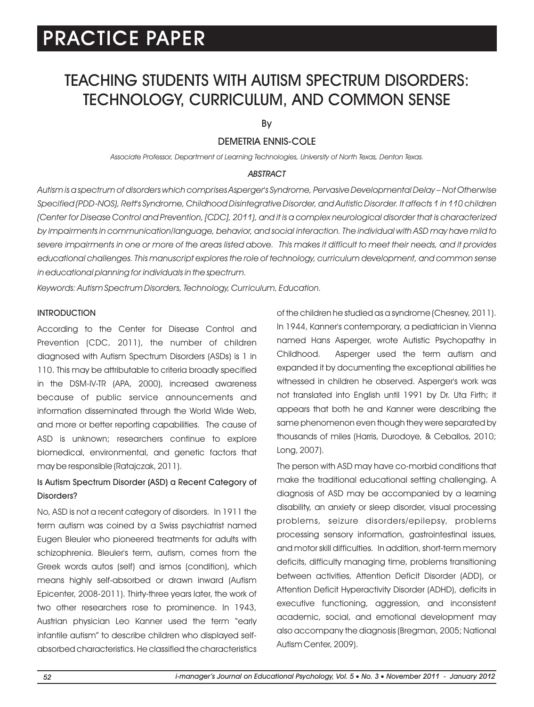## TEACHING STUDENTS WITH AUTISM SPECTRUM DISORDERS: TECHNOLOGY, CURRICULUM, AND COMMON SENSE

By

### DEMETRIA ENNIS-COLE

*Associate Professor, Department of Learning Technologies, University of North Texas, Denton Texas.*

#### *ABSTRACT*

*Autism is a spectrum of disorders which comprises Asperger's Syndrome, Pervasive Developmental Delay – Not Otherwise Specified (PDD-NOS), Rett's Syndrome, Childhood Disintegrative Disorder, and Autistic Disorder. It affects 1 in 110 children (Center for Disease Control and Prevention, [CDC], 2011), and it is a complex neurological disorder that is characterized by impairments in communication/language, behavior, and social interaction. The individual with ASD may have mild to severe impairments in one or more of the areas listed above. This makes it difficult to meet their needs, and it provides educational challenges. This manuscript explores the role of technology, curriculum development, and common sense in educational planning for individuals in the spectrum.* 

*Keywords: Autism Spectrum Disorders, Technology, Curriculum, Education.*

#### INTRODUCTION

According to the Center for Disease Control and Prevention (CDC, 2011), the number of children diagnosed with Autism Spectrum Disorders (ASDs) is 1 in 110. This may be attributable to criteria broadly specified in the DSM-IV-TR (APA, 2000), increased awareness because of public service announcements and information disseminated through the World Wide Web, and more or better reporting capabilities. The cause of ASD is unknown; researchers continue to explore biomedical, environmental, and genetic factors that may be responsible (Ratajczak, 2011).

### Is Autism Spectrum Disorder (ASD) a Recent Category of Disorders?

No, ASD is not a recent category of disorders. In 1911 the term autism was coined by a Swiss psychiatrist named Eugen Bleuler who pioneered treatments for adults with schizophrenia. Bleuler's term, autism, comes from the Greek words autos (self) and ismos (condition), which means highly self-absorbed or drawn inward (Autism Epicenter, 2008-2011). Thirty-three years later, the work of two other researchers rose to prominence. In 1943, Austrian physician Leo Kanner used the term "early infantile autism" to describe children who displayed selfabsorbed characteristics. He classified the characteristics of the children he studied as a syndrome (Chesney, 2011). In 1944, Kanner's contemporary, a pediatrician in Vienna named Hans Asperger, wrote Autistic Psychopathy in Childhood. Asperger used the term autism and expanded it by documenting the exceptional abilities he witnessed in children he observed. Asperger's work was not translated into English until 1991 by Dr. Uta Firth; it appears that both he and Kanner were describing the same phenomenon even though they were separated by thousands of miles (Harris, Durodoye, & Ceballos, 2010; Long, 2007).

The person with ASD may have co-morbid conditions that make the traditional educational setting challenging. A diagnosis of ASD may be accompanied by a learning disability, an anxiety or sleep disorder, visual processing problems, seizure disorders/epilepsy, problems processing sensory information, gastrointestinal issues, and motor skill difficulties. In addition, short-term memory deficits, difficulty managing time, problems transitioning between activities, Attention Deficit Disorder (ADD), or Attention Deficit Hyperactivity Disorder (ADHD), deficits in executive functioning, aggression, and inconsistent academic, social, and emotional development may also accompany the diagnosis (Bregman, 2005; National Autism Center, 2009).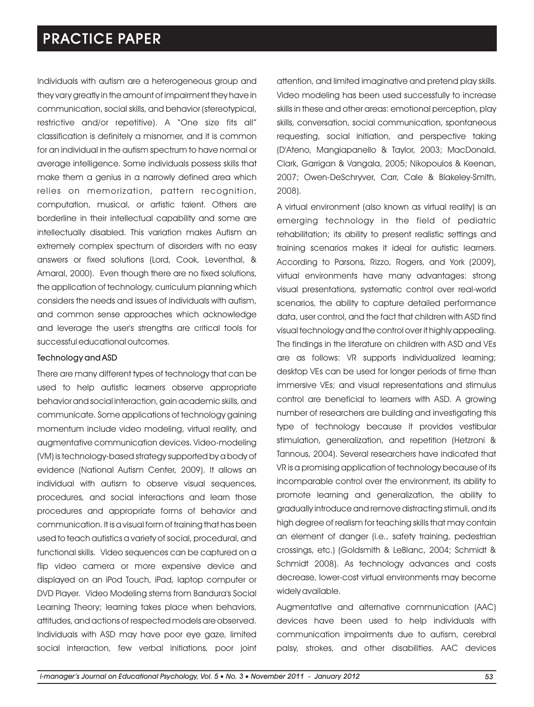Individuals with autism are a heterogeneous group and they vary greatly in the amount of impairment they have in communication, social skills, and behavior (stereotypical, restrictive and/or repetitive). A "One size fits all" classification is definitely a misnomer, and it is common for an individual in the autism spectrum to have normal or average intelligence. Some individuals possess skills that make them a genius in a narrowly defined area which relies on memorization, pattern recognition, computation, musical, or artistic talent. Others are borderline in their intellectual capability and some are intellectually disabled. This variation makes Autism an extremely complex spectrum of disorders with no easy answers or fixed solutions (Lord, Cook, Leventhal, & Amaral, 2000). Even though there are no fixed solutions, the application of technology, curriculum planning which considers the needs and issues of individuals with autism, and common sense approaches which acknowledge and leverage the user's strengths are critical tools for successful educational outcomes.

#### Technology and ASD

There are many different types of technology that can be used to help autistic learners observe appropriate behavior and social interaction, gain academic skills, and communicate. Some applications of technology gaining momentum include video modeling, virtual reality, and augmentative communication devices. Video-modeling (VM) is technology-based strategy supported by a body of evidence (National Autism Center, 2009). It allows an individual with autism to observe visual sequences, procedures, and social interactions and learn those procedures and appropriate forms of behavior and communication. It is a visual form of training that has been used to teach autistics a variety of social, procedural, and functional skills. Video sequences can be captured on a flip video camera or more expensive device and displayed on an iPod Touch, iPad, laptop computer or DVD Player. Video Modeling stems from Bandura's Social Learning Theory; learning takes place when behaviors, attitudes, and actions of respected models are observed. Individuals with ASD may have poor eye gaze, limited social interaction, few verbal initiations, poor joint attention, and limited imaginative and pretend play skills. Video modeling has been used successfully to increase skills in these and other areas: emotional perception, play skills, conversation, social communication, spontaneous requesting, social initiation, and perspective taking (D'Ateno, Mangiapanello & Taylor, 2003; MacDonald, Clark, Garrigan & Vangala, 2005; Nikopoulos & Keenan, 2007; Owen-DeSchryver, Carr, Cale & Blakeley-Smith, 2008).

A virtual environment (also known as virtual reality) is an emerging technology in the field of pediatric rehabilitation; its ability to present realistic settings and training scenarios makes it ideal for autistic learners. According to Parsons, Rizzo, Rogers, and York (2009), virtual environments have many advantages: strong visual presentations, systematic control over real-world scenarios, the ability to capture detailed performance data, user control, and the fact that children with ASD find visual technology and the control over it highly appealing. The findings in the literature on children with ASD and VEs are as follows: VR supports individualized learning; desktop VEs can be used for longer periods of time than immersive VEs; and visual representations and stimulus control are beneficial to learners with ASD. A growing number of researchers are building and investigating this type of technology because it provides vestibular stimulation, generalization, and repetition (Hetzroni & Tannous, 2004). Several researchers have indicated that VR is a promising application of technology because of its incomparable control over the environment, its ability to promote learning and generalization, the ability to gradually introduce and remove distracting stimuli, and its high degree of realism for teaching skills that may contain an element of danger (i.e., safety training, pedestrian crossings, etc.) (Goldsmith & LeBlanc, 2004; Schmidt & Schmidt 2008). As technology advances and costs decrease, lower-cost virtual environments may become widely available.

Augmentative and alternative communication (AAC) devices have been used to help individuals with communication impairments due to autism, cerebral palsy, strokes, and other disabilities. AAC devices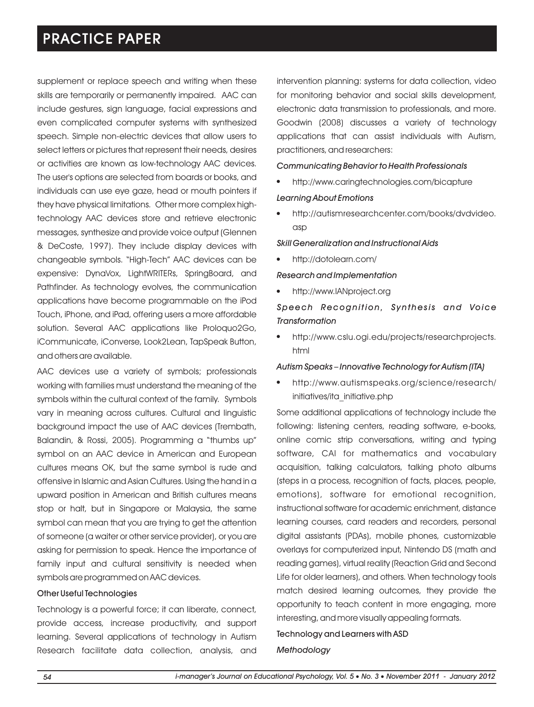supplement or replace speech and writing when these skills are temporarily or permanently impaired. AAC can include gestures, sign language, facial expressions and even complicated computer systems with synthesized speech. Simple non-electric devices that allow users to select letters or pictures that represent their needs, desires or activities are known as low-technology AAC devices. The user's options are selected from boards or books, and individuals can use eye gaze, head or mouth pointers if they have physical limitations. Other more complex hightechnology AAC devices store and retrieve electronic messages, synthesize and provide voice output (Glennen & DeCoste, 1997). They include display devices with changeable symbols. "High-Tech" AAC devices can be expensive: DynaVox, LightWRITERs, SpringBoard, and Pathfinder. As technology evolves, the communication applications have become programmable on the iPod Touch, iPhone, and iPad, offering users a more affordable solution. Several AAC applications like Proloquo2Go, iCommunicate, iConverse, Look2Lean, TapSpeak Button, and others are available.

AAC devices use a variety of symbols; professionals working with families must understand the meaning of the symbols within the cultural context of the family. Symbols vary in meaning across cultures. Cultural and linguistic background impact the use of AAC devices (Trembath, Balandin, & Rossi, 2005). Programming a "thumbs up" symbol on an AAC device in American and European cultures means OK, but the same symbol is rude and offensive in Islamic and Asian Cultures. Using the hand in a upward position in American and British cultures means stop or halt, but in Singapore or Malaysia, the same symbol can mean that you are trying to get the attention of someone (a waiter or other service provider), or you are asking for permission to speak. Hence the importance of family input and cultural sensitivity is needed when symbols are programmed on AAC devices.

#### Other Useful Technologies

Technology is a powerful force; it can liberate, connect, provide access, increase productivity, and support learning. Several applications of technology in Autism Research facilitate data collection, analysis, and intervention planning: systems for data collection, video for monitoring behavior and social skills development, electronic data transmission to professionals, and more. Goodwin (2008) discusses a variety of technology applications that can assist individuals with Autism, practitioners, and researchers:

#### *Communicating Behavior to Health Professionals*

- http://www.caringtechnologies.com/bicapture l *Learning About Emotions*
- http://autismresearchcenter.com/books/dvdvideo. l asp

*Skill Generalization and Instructional Aids*

• http://dotolearn.com/

#### *Research and Implementation*

http://www.IANproject.org l

### *Speech Recognition, S ynthes i s and Voice Transformation*

http://www.cslu.ogi.edu/projects/researchprojects. l html

#### *Autism Speaks – Innovative Technology for Autism (ITA)*

http://www.autismspeaks.org/science/research/ l initiatives/ita\_initiative.php

Some additional applications of technology include the following: listening centers, reading software, e-books, online comic strip conversations, writing and typing software, CAI for mathematics and vocabulary acquisition, talking calculators, talking photo albums (steps in a process, recognition of facts, places, people, emotions), software for emotional recognition, instructional software for academic enrichment, distance learning courses, card readers and recorders, personal digital assistants (PDAs), mobile phones, customizable overlays for computerized input, Nintendo DS (math and reading games), virtual reality (Reaction Grid and Second Life for older learners), and others. When technology tools match desired learning outcomes, they provide the opportunity to teach content in more engaging, more interesting, and more visually appealing formats.

#### Technology and Learners with ASD

#### *Methodology*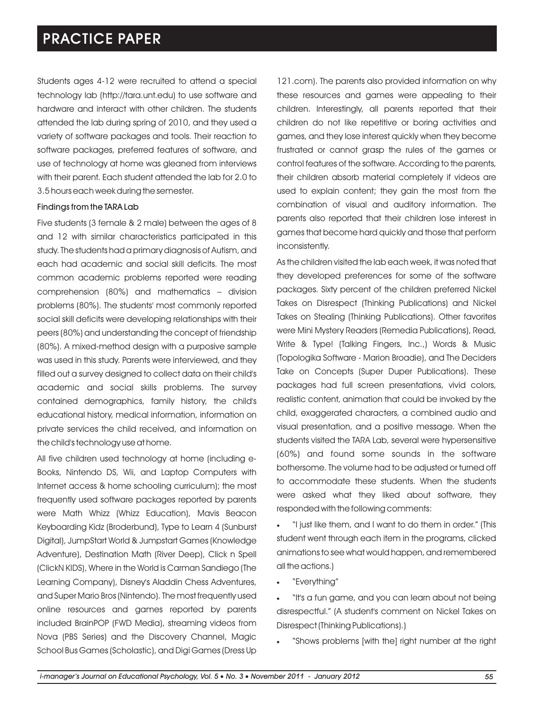Students ages 4-12 were recruited to attend a special technology lab (http://tara.unt.edu) to use software and hardware and interact with other children. The students attended the lab during spring of 2010, and they used a variety of software packages and tools. Their reaction to software packages, preferred features of software, and use of technology at home was gleaned from interviews with their parent. Each student attended the lab for 2.0 to 3.5 hours each week during the semester.

#### Findings from the TARA Lab

Five students (3 female & 2 male) between the ages of 8 and 12 with similar characteristics participated in this study. The students had a primary diagnosis of Autism, and each had academic and social skill deficits. The most common academic problems reported were reading comprehension (80%) and mathematics – division problems (80%). The students' most commonly reported social skill deficits were developing relationships with their peers (80%) and understanding the concept of friendship (80%). A mixed-method design with a purposive sample was used in this study. Parents were interviewed, and they filled out a survey designed to collect data on their child's academic and social skills problems. The survey contained demographics, family history, the child's educational history, medical information, information on private services the child received, and information on the child's technology use at home.

All five children used technology at home (including e-Books, Nintendo DS, Wii, and Laptop Computers with Internet access & home schooling curriculum); the most frequently used software packages reported by parents were Math Whizz (Whizz Education), Mavis Beacon Keyboarding Kidz (Broderbund), Type to Learn 4 (Sunburst Digital), JumpStart World & Jumpstart Games (Knowledge Adventure), Destination Math (River Deep), Click n Spell (ClickN KIDS), Where in the World is Carman Sandiego (The Learning Company), Disney's Aladdin Chess Adventures, and Super Mario Bros (Nintendo). The most frequently used online resources and games reported by parents included BrainPOP (FWD Media), streaming videos from Nova (PBS Series) and the Discovery Channel, Magic School Bus Games (Scholastic), and Digi Games (Dress Up

121.com). The parents also provided information on why these resources and games were appealing to their children. Interestingly, all parents reported that their children do not like repetitive or boring activities and games, and they lose interest quickly when they become frustrated or cannot grasp the rules of the games or control features of the software. According to the parents, their children absorb material completely if videos are used to explain content; they gain the most from the combination of visual and auditory information. The parents also reported that their children lose interest in games that become hard quickly and those that perform inconsistently.

As the children visited the lab each week, it was noted that they developed preferences for some of the software packages. Sixty percent of the children preferred Nickel Takes on Disrespect (Thinking Publications) and Nickel Takes on Stealing (Thinking Publications). Other favorites were Mini Mystery Readers (Remedia Publications), Read, Write & Type! (Talking Fingers, Inc.,) Words & Music (Topologika Software - Marion Broadie), and The Deciders Take on Concepts (Super Duper Publications). These packages had full screen presentations, vivid colors, realistic content, animation that could be invoked by the child, exaggerated characters, a combined audio and visual presentation, and a positive message. When the students visited the TARA Lab, several were hypersensitive (60%) and found some sounds in the software bothersome. The volume had to be adjusted or turned off to accommodate these students. When the students were asked what they liked about software, they responded with the following comments:

·"I just like them, and I want to do them in order." (This student went through each item in the programs, clicked animations to see what would happen, and remembered all the actions.)

·"Everything"

·"It's a fun game, and you can learn about not being disrespectful." (A student's comment on Nickel Takes on Disrespect (Thinking Publications).)

·"Shows problems [with the] right number at the right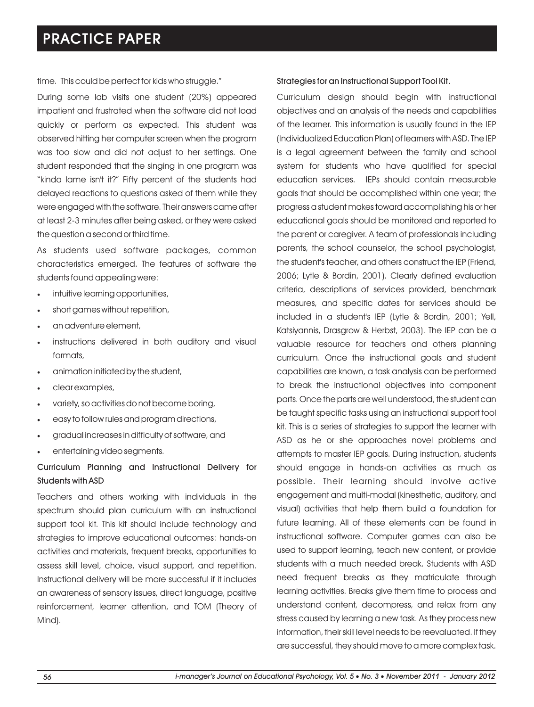time. This could be perfect for kids who struggle."

During some lab visits one student (20%) appeared impatient and frustrated when the software did not load quickly or perform as expected. This student was observed hitting her computer screen when the program was too slow and did not adjust to her settings. One student responded that the singing in one program was "kinda lame isn't it?" Fifty percent of the students had delayed reactions to questions asked of them while they were engaged with the software. Their answers came after at least 2-3 minutes after being asked, or they were asked the question a second or third time.

As students used software packages, common characteristics emerged. The features of software the students found appealing were:

- ·intuitive learning opportunities,
- ·short games without repetition,
- ·an adventure element,
- instructions delivered in both auditory and visual formats,
- animation initiated by the student,
- ·clear examples,
- ·variety, so activities do not become boring,
- ·easy to follow rules and program directions,
- ·gradual increases in difficulty of software, and
- entertaining video segments.

### Curriculum Planning and Instructional Delivery for Students with ASD

Teachers and others working with individuals in the spectrum should plan curriculum with an instructional support tool kit. This kit should include technology and strategies to improve educational outcomes: hands-on activities and materials, frequent breaks, opportunities to assess skill level, choice, visual support, and repetition. Instructional delivery will be more successful if it includes an awareness of sensory issues, direct language, positive reinforcement, learner attention, and TOM (Theory of Mind).

#### Strategies for an Instructional Support Tool Kit.

Curriculum design should begin with instructional objectives and an analysis of the needs and capabilities of the learner. This information is usually found in the IEP (Individualized Education Plan) of learners with ASD. The IEP is a legal agreement between the family and school system for students who have qualified for special education services. IEPs should contain measurable goals that should be accomplished within one year; the progress a student makes toward accomplishing his or her educational goals should be monitored and reported to the parent or caregiver. A team of professionals including parents, the school counselor, the school psychologist, the student's teacher, and others construct the IEP (Friend, 2006; Lytle & Bordin, 2001). Clearly defined evaluation criteria, descriptions of services provided, benchmark measures, and specific dates for services should be included in a student's IEP (Lytle & Bordin, 2001; Yell, Katsiyannis, Drasgrow & Herbst, 2003). The IEP can be a valuable resource for teachers and others planning curriculum. Once the instructional goals and student capabilities are known, a task analysis can be performed to break the instructional objectives into component parts. Once the parts are well understood, the student can be taught specific tasks using an instructional support tool kit. This is a series of strategies to support the learner with ASD as he or she approaches novel problems and attempts to master IEP goals. During instruction, students should engage in hands-on activities as much as possible. Their learning should involve active engagement and multi-modal (kinesthetic, auditory, and visual) activities that help them build a foundation for future learning. All of these elements can be found in instructional software. Computer games can also be used to support learning, teach new content, or provide students with a much needed break. Students with ASD need frequent breaks as they matriculate through learning activities. Breaks give them time to process and understand content, decompress, and relax from any stress caused by learning a new task. As they process new information, their skill level needs to be reevaluated. If they are successful, they should move to a more complex task.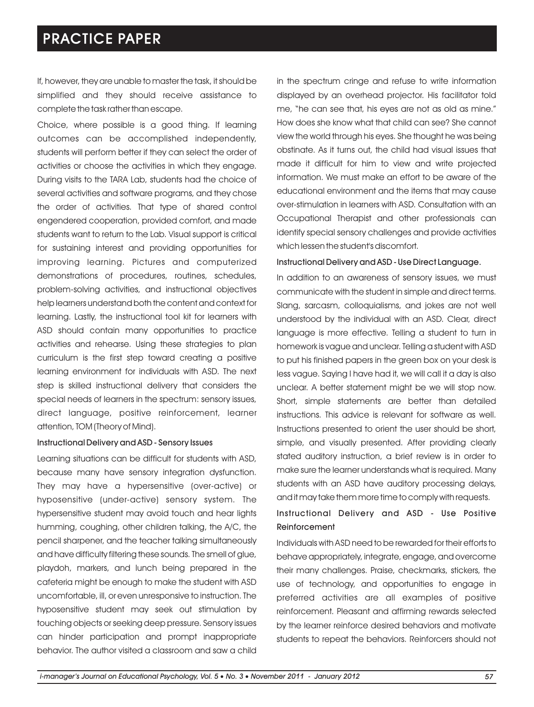If, however, they are unable to master the task, it should be simplified and they should receive assistance to complete the task rather than escape.

Choice, where possible is a good thing. If learning outcomes can be accomplished independently, students will perform better if they can select the order of activities or choose the activities in which they engage. During visits to the TARA Lab, students had the choice of several activities and software programs, and they chose the order of activities. That type of shared control engendered cooperation, provided comfort, and made students want to return to the Lab. Visual support is critical for sustaining interest and providing opportunities for improving learning. Pictures and computerized demonstrations of procedures, routines, schedules, problem-solving activities, and instructional objectives help learners understand both the content and context for learning. Lastly, the instructional tool kit for learners with ASD should contain many opportunities to practice activities and rehearse. Using these strategies to plan curriculum is the first step toward creating a positive learning environment for individuals with ASD. The next step is skilled instructional delivery that considers the special needs of learners in the spectrum: sensory issues, direct language, positive reinforcement, learner attention, TOM (Theory of Mind).

#### Instructional Delivery and ASD - Sensory Issues

Learning situations can be difficult for students with ASD, because many have sensory integration dysfunction. They may have a hypersensitive (over-active) or hyposensitive (under-active) sensory system. The hypersensitive student may avoid touch and hear lights humming, coughing, other children talking, the A/C, the pencil sharpener, and the teacher talking simultaneously and have difficulty filtering these sounds. The smell of glue, playdoh, markers, and lunch being prepared in the cafeteria might be enough to make the student with ASD uncomfortable, ill, or even unresponsive to instruction. The hyposensitive student may seek out stimulation by touching objects or seeking deep pressure. Sensory issues can hinder participation and prompt inappropriate behavior. The author visited a classroom and saw a child

in the spectrum cringe and refuse to write information displayed by an overhead projector. His facilitator told me, "he can see that, his eyes are not as old as mine." How does she know what that child can see? She cannot view the world through his eyes. She thought he was being obstinate. As it turns out, the child had visual issues that made it difficult for him to view and write projected information. We must make an effort to be aware of the educational environment and the items that may cause over-stimulation in learners with ASD. Consultation with an Occupational Therapist and other professionals can identify special sensory challenges and provide activities which lessen the student's discomfort.

#### Instructional Delivery and ASD - Use Direct Language.

In addition to an awareness of sensory issues, we must communicate with the student in simple and direct terms. Slang, sarcasm, colloquialisms, and jokes are not well understood by the individual with an ASD. Clear, direct language is more effective. Telling a student to turn in homework is vague and unclear. Telling a student with ASD to put his finished papers in the green box on your desk is less vague. Saying I have had it, we will call it a day is also unclear. A better statement might be we will stop now. Short, simple statements are better than detailed instructions. This advice is relevant for software as well. Instructions presented to orient the user should be short, simple, and visually presented. After providing clearly stated auditory instruction, a brief review is in order to make sure the learner understands what is required. Many students with an ASD have auditory processing delays, and it may take them more time to comply with requests.

### Instructional Delivery and ASD - Use Positive Reinforcement

Individuals with ASD need to be rewarded for their efforts to behave appropriately, integrate, engage, and overcome their many challenges. Praise, checkmarks, stickers, the use of technology, and opportunities to engage in preferred activities are all examples of positive reinforcement. Pleasant and affirming rewards selected by the learner reinforce desired behaviors and motivate students to repeat the behaviors. Reinforcers should not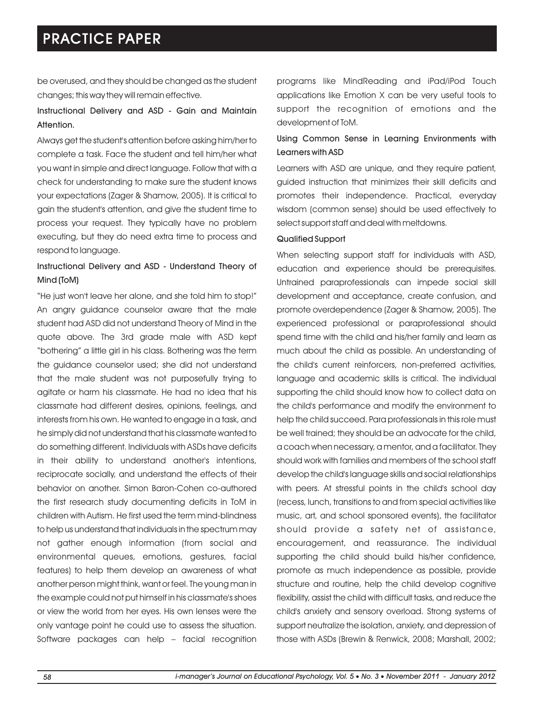be overused, and they should be changed as the student changes; this way they will remain effective.

### Instructional Delivery and ASD - Gain and Maintain Attention.

Always get the student's attention before asking him/her to complete a task. Face the student and tell him/her what you want in simple and direct language. Follow that with a check for understanding to make sure the student knows your expectations (Zager & Shamow, 2005). It is critical to gain the student's attention, and give the student time to process your request. They typically have no problem executing, but they do need extra time to process and respond to language.

### Instructional Delivery and ASD - Understand Theory of Mind (ToM)

"He just won't leave her alone, and she told him to stop!" An angry guidance counselor aware that the male student had ASD did not understand Theory of Mind in the quote above. The 3rd grade male with ASD kept "bothering" a little girl in his class. Bothering was the term the guidance counselor used; she did not understand that the male student was not purposefully trying to agitate or harm his classmate. He had no idea that his classmate had different desires, opinions, feelings, and interests from his own. He wanted to engage in a task, and he simply did not understand that his classmate wanted to do something different. Individuals with ASDs have deficits in their ability to understand another's intentions, reciprocate socially, and understand the effects of their behavior on another. Simon Baron-Cohen co-authored the first research study documenting deficits in ToM in children with Autism. He first used the term mind-blindness to help us understand that individuals in the spectrum may not gather enough information (from social and environmental queues, emotions, gestures, facial features) to help them develop an awareness of what another person might think, want or feel. The young man in the example could not put himself in his classmate's shoes or view the world from her eyes. His own lenses were the only vantage point he could use to assess the situation. Software packages can help – facial recognition programs like MindReading and iPad/iPod Touch applications like Emotion X can be very useful tools to support the recognition of emotions and the development of ToM.

### Using Common Sense in Learning Environments with Learners with ASD

Learners with ASD are unique, and they require patient, guided instruction that minimizes their skill deficits and promotes their independence. Practical, everyday wisdom (common sense) should be used effectively to select support staff and deal with meltdowns.

#### Qualified Support

When selecting support staff for individuals with ASD, education and experience should be prerequisites. Untrained paraprofessionals can impede social skill development and acceptance, create confusion, and promote overdependence (Zager & Shamow, 2005). The experienced professional or paraprofessional should spend time with the child and his/her family and learn as much about the child as possible. An understanding of the child's current reinforcers, non-preferred activities, language and academic skills is critical. The individual supporting the child should know how to collect data on the child's performance and modify the environment to help the child succeed. Para professionals in this role must be well trained; they should be an advocate for the child, a coach when necessary, a mentor, and a facilitator. They should work with families and members of the school staff develop the child's language skills and social relationships with peers. At stressful points in the child's school day (recess, lunch, transitions to and from special activities like music, art, and school sponsored events), the facilitator should provide a safety net of assistance, encouragement, and reassurance. The individual supporting the child should build his/her confidence, promote as much independence as possible, provide structure and routine, help the child develop cognitive flexibility, assist the child with difficult tasks, and reduce the child's anxiety and sensory overload. Strong systems of support neutralize the isolation, anxiety, and depression of those with ASDs (Brewin & Renwick, 2008; Marshall, 2002;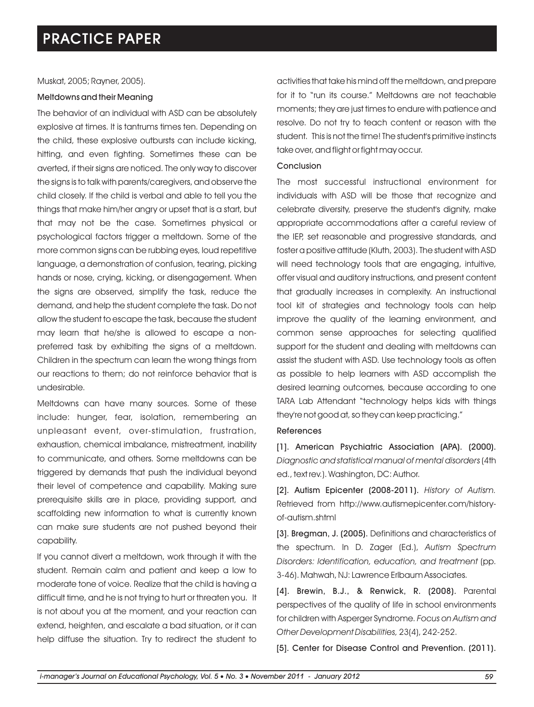Muskat, 2005; Rayner, 2005).

#### Meltdowns and their Meaning

The behavior of an individual with ASD can be absolutely explosive at times. It is tantrums times ten. Depending on the child, these explosive outbursts can include kicking, hitting, and even fighting. Sometimes these can be averted, if their signs are noticed. The only way to discover the signs is to talk with parents/caregivers, and observe the child closely. If the child is verbal and able to tell you the things that make him/her angry or upset that is a start, but that may not be the case. Sometimes physical or psychological factors trigger a meltdown. Some of the more common signs can be rubbing eyes, loud repetitive language, a demonstration of confusion, tearing, picking hands or nose, crying, kicking, or disengagement. When the signs are observed, simplify the task, reduce the demand, and help the student complete the task. Do not allow the student to escape the task, because the student may learn that he/she is allowed to escape a nonpreferred task by exhibiting the signs of a meltdown. Children in the spectrum can learn the wrong things from our reactions to them; do not reinforce behavior that is undesirable.

Meltdowns can have many sources. Some of these include: hunger, fear, isolation, remembering an unpleasant event, over-stimulation, frustration, exhaustion, chemical imbalance, mistreatment, inability to communicate, and others. Some meltdowns can be triggered by demands that push the individual beyond their level of competence and capability. Making sure prerequisite skills are in place, providing support, and scaffolding new information to what is currently known can make sure students are not pushed beyond their capability.

If you cannot divert a meltdown, work through it with the student. Remain calm and patient and keep a low to moderate tone of voice. Realize that the child is having a difficult time, and he is not trying to hurt or threaten you. It is not about you at the moment, and your reaction can extend, heighten, and escalate a bad situation, or it can help diffuse the situation. Try to redirect the student to

activities that take his mind off the meltdown, and prepare for it to "run its course." Meltdowns are not teachable moments; they are just times to endure with patience and resolve. Do not try to teach content or reason with the student. This is not the time! The student's primitive instincts take over, and flight or fight may occur.

#### Conclusion

The most successful instructional environment for individuals with ASD will be those that recognize and celebrate diversity, preserve the student's dignity, make appropriate accommodations after a careful review of the IEP, set reasonable and progressive standards, and foster a positive attitude (Kluth, 2003). The student with ASD will need technology tools that are engaging, intuitive, offer visual and auditory instructions, and present content that gradually increases in complexity. An instructional tool kit of strategies and technology tools can help improve the quality of the learning environment, and common sense approaches for selecting qualified support for the student and dealing with meltdowns can assist the student with ASD. Use technology tools as often as possible to help learners with ASD accomplish the desired learning outcomes, because according to one TARA Lab Attendant "technology helps kids with things they're not good at, so they can keep practicing."

#### References

[1]. American Psychiatric Association (APA). (2000). *Diagnostic and statistical manual of mental disorders* (4th ed., text rev.). Washington, DC: Author.

[2]. Autism Epicenter (2008-2011). *History of Autism.* Retrieved from http://www.autismepicenter.com/historyof-autism.shtml

[3]. Bregman, J. (2005). Definitions and characteristics of the spectrum. In D. Zager (Ed.), *Autism Spectrum Disorders: Identification, education, and treatment* (pp. 3-46). Mahwah, NJ: Lawrence Erlbaum Associates.

[4]. Brewin, B.J., & Renwick, R. (2008). Parental perspectives of the quality of life in school environments for children with Asperger Syndrome. *Focus on Autism and Other Development Disabilities,* 23(4), 242-252.

[5]. Center for Disease Control and Prevention. (2011).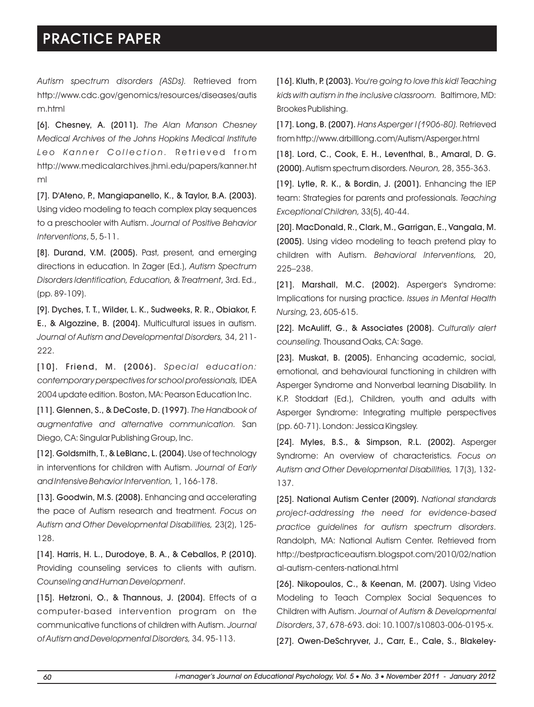*Autism spectrum disorders (ASDs).* Retrieved from http://www.cdc.gov/genomics/resources/diseases/autis m.html

[6]. Chesney, A. (2011). *The Alan Manson Chesney Medical Archives of the Johns Hopkins Medical Institute Leo Kanner Collection. Retrieved from* http://www.medicalarchives.jhmi.edu/papers/kanner.ht ml

[7]. D'Ateno, P., Mangiapanello, K., & Taylor, B.A. (2003). Using video modeling to teach complex play sequences to a preschooler with Autism. *Journal of Positive Behavior Interventions*, 5, 5-11.

[8]. Durand, V.M. (2005). Past, present, and emerging directions in education. In Zager (Ed.), *Autism Spectrum Disorders Identification, Education, & Treatment*, 3rd. Ed., (pp. 89-109).

[9]. Dyches, T. T., Wilder, L. K., Sudweeks, R. R., Obiakor, F. E., & Algozzine, B. (2004). Multicultural issues in autism. *Journal of Autism and Developmental Disorders,* 34, 211- 222.

[10]. Friend, M. (2006). *Special education: contemporary perspectives for school professionals,* IDEA 2004 update edition. Boston, MA: Pearson Education Inc.

[11]. Glennen, S., & DeCoste, D. (1997). *The Handbook of augmentative and alternative communication.* San Diego, CA: Singular Publishing Group, Inc.

[12]. Goldsmith, T., & LeBlanc, L. (2004). Use of technology in interventions for children with Autism. *Journal of Early and Intensive Behavior Intervention,* 1, 166-178.

[13]. Goodwin, M.S. (2008). Enhancing and accelerating the pace of Autism research and treatment. *Focus on Autism and Other Developmental Disabilities,* 23(2), 125- 128.

[14]. Harris, H. L., Durodoye, B. A., & Ceballos, P. (2010). Providing counseling services to clients with autism. *Counseling and Human Development*.

[15]. Hetzroni, O., & Thannous, J. (2004). Effects of a computer-based intervention program on the communicative functions of children with Autism. *Journal of Autism and Developmental Disorders,* 34. 95-113.

[16]. Kluth, P. (2003). *You're going to love this kid! Teaching kids with autism in the inclusive classroom.* Baltimore, MD: Brookes Publishing.

[17]. Long, B. (2007). *Hans Asperger I (1906-80).* Retrieved from http://www.drbilllong.com/Autism/Asperger.html

[18]. Lord, C., Cook, E. H., Leventhal, B., Amaral, D. G. (2000). Autism spectrum disorders. *Neuron,* 28, 355-363.

[19]. Lytle, R. K., & Bordin, J. (2001). Enhancing the IEP team: Strategies for parents and professionals. *Teaching Exceptional Children,* 33(5), 40-44.

[20]. MacDonald, R., Clark, M., Garrigan, E., Vangala, M. (2005). Using video modeling to teach pretend play to children with Autism. *Behavioral Interventions,* 20, 225–238.

[21]. Marshall, M.C. (2002). Asperger's Syndrome: Implications for nursing practice. *Issues in Mental Health Nursing,* 23, 605-615.

[22]. McAuliff, G., & Associates (2008). *Culturally alert counseling.*Thousand Oaks, CA: Sage.

[23]. Muskat, B. (2005). Enhancing academic, social, emotional, and behavioural functioning in children with Asperger Syndrome and Nonverbal learning Disability. In K.P. Stoddart (Ed.), Children, youth and adults with Asperger Syndrome: Integrating multiple perspectives (pp. 60-71). London: Jessica Kingsley.

[24]. Myles, B.S., & Simpson, R.L. (2002). Asperger Syndrome: An overview of characteristics. *Focus on Autism and Other Developmental Disabilities,* 17(3), 132- 137.

[25]. National Autism Center (2009). *National standards project-addressing the need for evidence-based practice guidelines for autism spectrum disorders*. Randolph, MA: National Autism Center. Retrieved from http://bestpracticeautism.blogspot.com/2010/02/nation al-autism-centers-national.html

[26]. Nikopoulos, C., & Keenan, M. (2007). Using Video Modeling to Teach Complex Social Sequences to Children with Autism. *Journal of Autism & Developmental Disorders*, 37, 678-693. doi: 10.1007/s10803-006-0195-x.

[27]. Owen-DeSchryver, J., Carr, E., Cale, S., Blakeley-